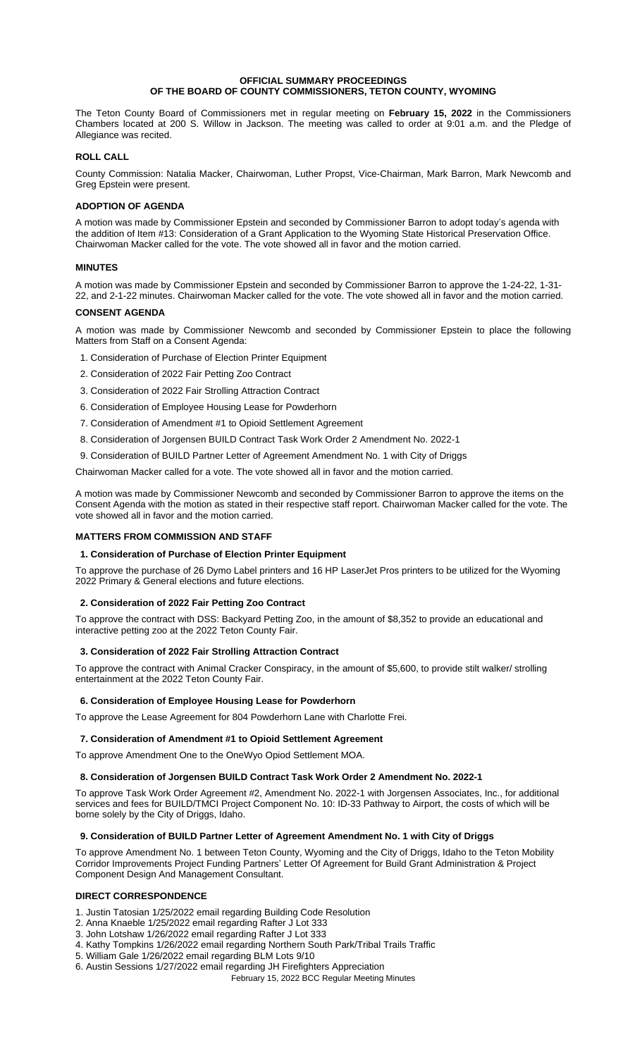## **OFFICIAL SUMMARY PROCEEDINGS OF THE BOARD OF COUNTY COMMISSIONERS, TETON COUNTY, WYOMING**

The Teton County Board of Commissioners met in regular meeting on **February 15, 2022** in the Commissioners Chambers located at 200 S. Willow in Jackson. The meeting was called to order at 9:01 a.m. and the Pledge of Allegiance was recited.

# **ROLL CALL**

County Commission: Natalia Macker, Chairwoman, Luther Propst, Vice-Chairman, Mark Barron, Mark Newcomb and Greg Epstein were present.

# **ADOPTION OF AGENDA**

A motion was made by Commissioner Epstein and seconded by Commissioner Barron to adopt today's agenda with the addition of Item #13: Consideration of a Grant Application to the Wyoming State Historical Preservation Office. Chairwoman Macker called for the vote. The vote showed all in favor and the motion carried.

# **MINUTES**

A motion was made by Commissioner Epstein and seconded by Commissioner Barron to approve the 1-24-22, 1-31- 22, and 2-1-22 minutes. Chairwoman Macker called for the vote. The vote showed all in favor and the motion carried.

# **CONSENT AGENDA**

A motion was made by Commissioner Newcomb and seconded by Commissioner Epstein to place the following Matters from Staff on a Consent Agenda:

- 1. Consideration of Purchase of Election Printer Equipment
- 2. Consideration of 2022 Fair Petting Zoo Contract
- 3. Consideration of 2022 Fair Strolling Attraction Contract
- 6. Consideration of Employee Housing Lease for Powderhorn
- 7. Consideration of Amendment #1 to Opioid Settlement Agreement
- 8. Consideration of Jorgensen BUILD Contract Task Work Order 2 Amendment No. 2022-1
- 9. Consideration of BUILD Partner Letter of Agreement Amendment No. 1 with City of Driggs

Chairwoman Macker called for a vote. The vote showed all in favor and the motion carried.

A motion was made by Commissioner Newcomb and seconded by Commissioner Barron to approve the items on the Consent Agenda with the motion as stated in their respective staff report. Chairwoman Macker called for the vote. The vote showed all in favor and the motion carried.

## **MATTERS FROM COMMISSION AND STAFF**

## **1. Consideration of Purchase of Election Printer Equipment**

To approve the purchase of 26 Dymo Label printers and 16 HP LaserJet Pros printers to be utilized for the Wyoming 2022 Primary & General elections and future elections.

## **2. Consideration of 2022 Fair Petting Zoo Contract**

To approve the contract with DSS: Backyard Petting Zoo, in the amount of \$8,352 to provide an educational and interactive petting zoo at the 2022 Teton County Fair.

## **3. Consideration of 2022 Fair Strolling Attraction Contract**

To approve the contract with Animal Cracker Conspiracy, in the amount of \$5,600, to provide stilt walker/ strolling entertainment at the 2022 Teton County Fair.

# **6. Consideration of Employee Housing Lease for Powderhorn**

To approve the Lease Agreement for 804 Powderhorn Lane with Charlotte Frei.

## **7. Consideration of Amendment #1 to Opioid Settlement Agreement**

To approve Amendment One to the OneWyo Opiod Settlement MOA.

## **8. Consideration of Jorgensen BUILD Contract Task Work Order 2 Amendment No. 2022-1**

To approve Task Work Order Agreement #2, Amendment No. 2022-1 with Jorgensen Associates, Inc., for additional services and fees for BUILD/TMCI Project Component No. 10: ID-33 Pathway to Airport, the costs of which will be borne solely by the City of Driggs, Idaho.

## **9. Consideration of BUILD Partner Letter of Agreement Amendment No. 1 with City of Driggs**

To approve Amendment No. 1 between Teton County, Wyoming and the City of Driggs, Idaho to the Teton Mobility Corridor Improvements Project Funding Partners' Letter Of Agreement for Build Grant Administration & Project Component Design And Management Consultant.

# **DIRECT CORRESPONDENCE**

- 1. Justin Tatosian 1/25/2022 email regarding Building Code Resolution
- 2. Anna Knaeble 1/25/2022 email regarding Rafter J Lot 333
- 3. John Lotshaw 1/26/2022 email regarding Rafter J Lot 333
- 4. Kathy Tompkins 1/26/2022 email regarding Northern South Park/Tribal Trails Traffic
- 5. William Gale 1/26/2022 email regarding BLM Lots 9/10
- 6. Austin Sessions 1/27/2022 email regarding JH Firefighters Appreciation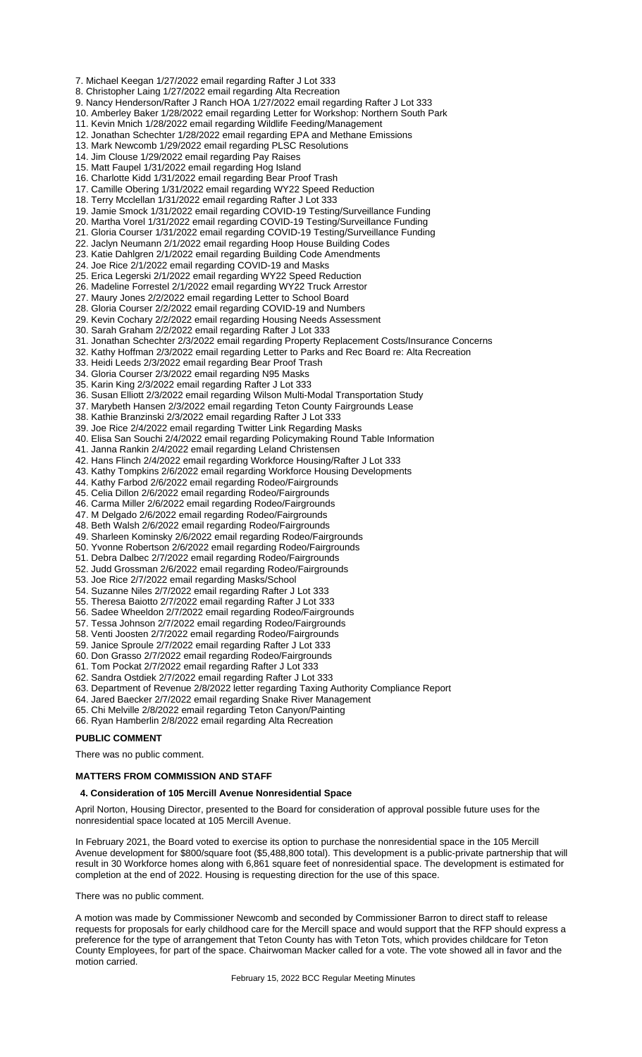7. Michael Keegan 1/27/2022 email regarding Rafter J Lot 333

8. Christopher Laing 1/27/2022 email regarding Alta Recreation

- 9. Nancy Henderson/Rafter J Ranch HOA 1/27/2022 email regarding Rafter J Lot 333
- 10. Amberley Baker 1/28/2022 email regarding Letter for Workshop: Northern South Park
- 11. Kevin Mnich 1/28/2022 email regarding Wildlife Feeding/Management
- 12. Jonathan Schechter 1/28/2022 email regarding EPA and Methane Emissions
- 13. Mark Newcomb 1/29/2022 email regarding PLSC Resolutions
- 14. Jim Clouse 1/29/2022 email regarding Pay Raises
- 15. Matt Faupel 1/31/2022 email regarding Hog Island
- 16. Charlotte Kidd 1/31/2022 email regarding Bear Proof Trash
- 17. Camille Obering 1/31/2022 email regarding WY22 Speed Reduction
- 18. Terry Mcclellan 1/31/2022 email regarding Rafter J Lot 333
- 19. Jamie Smock 1/31/2022 email regarding COVID-19 Testing/Surveillance Funding
- 20. Martha Vorel 1/31/2022 email regarding COVID-19 Testing/Surveillance Funding
- 21. Gloria Courser 1/31/2022 email regarding COVID-19 Testing/Surveillance Funding
- 22. Jaclyn Neumann 2/1/2022 email regarding Hoop House Building Codes
- 23. Katie Dahlgren 2/1/2022 email regarding Building Code Amendments
- 24. Joe Rice 2/1/2022 email regarding COVID-19 and Masks
- 25. Erica Legerski 2/1/2022 email regarding WY22 Speed Reduction
- 26. Madeline Forrestel 2/1/2022 email regarding WY22 Truck Arrestor
- 27. Maury Jones 2/2/2022 email regarding Letter to School Board
- 28. Gloria Courser 2/2/2022 email regarding COVID-19 and Numbers
- 29. Kevin Cochary 2/2/2022 email regarding Housing Needs Assessment
- 30. Sarah Graham 2/2/2022 email regarding Rafter J Lot 333
- 31. Jonathan Schechter 2/3/2022 email regarding Property Replacement Costs/Insurance Concerns
- 32. Kathy Hoffman 2/3/2022 email regarding Letter to Parks and Rec Board re: Alta Recreation
- 33. Heidi Leeds 2/3/2022 email regarding Bear Proof Trash
- 34. Gloria Courser 2/3/2022 email regarding N95 Masks
- 35. Karin King 2/3/2022 email regarding Rafter J Lot 333
- 36. Susan Elliott 2/3/2022 email regarding Wilson Multi-Modal Transportation Study
- 37. Marybeth Hansen 2/3/2022 email regarding Teton County Fairgrounds Lease
- 38. Kathie Branzinski 2/3/2022 email regarding Rafter J Lot 333
- 39. Joe Rice 2/4/2022 email regarding Twitter Link Regarding Masks
- 40. Elisa San Souchi 2/4/2022 email regarding Policymaking Round Table Information
- 41. Janna Rankin 2/4/2022 email regarding Leland Christensen
- 42. Hans Flinch 2/4/2022 email regarding Workforce Housing/Rafter J Lot 333
- 43. Kathy Tompkins 2/6/2022 email regarding Workforce Housing Developments
- 44. Kathy Farbod 2/6/2022 email regarding Rodeo/Fairgrounds
- 45. Celia Dillon 2/6/2022 email regarding Rodeo/Fairgrounds
- 46. Carma Miller 2/6/2022 email regarding Rodeo/Fairgrounds
- 47. M Delgado 2/6/2022 email regarding Rodeo/Fairgrounds
- 48. Beth Walsh 2/6/2022 email regarding Rodeo/Fairgrounds
- 49. Sharleen Kominsky 2/6/2022 email regarding Rodeo/Fairgrounds
- 50. Yvonne Robertson 2/6/2022 email regarding Rodeo/Fairgrounds
- 51. Debra Dalbec 2/7/2022 email regarding Rodeo/Fairgrounds
- 52. Judd Grossman 2/6/2022 email regarding Rodeo/Fairgrounds
- 53. Joe Rice 2/7/2022 email regarding Masks/School
- 54. Suzanne Niles 2/7/2022 email regarding Rafter J Lot 333
- 55. Theresa Baiotto 2/7/2022 email regarding Rafter J Lot 333
- 56. Sadee Wheeldon 2/7/2022 email regarding Rodeo/Fairgrounds
- 57. Tessa Johnson 2/7/2022 email regarding Rodeo/Fairgrounds
- 58. Venti Joosten 2/7/2022 email regarding Rodeo/Fairgrounds
- 59. Janice Sproule 2/7/2022 email regarding Rafter J Lot 333
- 60. Don Grasso 2/7/2022 email regarding Rodeo/Fairgrounds
- 61. Tom Pockat 2/7/2022 email regarding Rafter J Lot 333
- 
- 62. Sandra Ostdiek 2/7/2022 email regarding Rafter J Lot 333
- 63. Department of Revenue 2/8/2022 letter regarding Taxing Authority Compliance Report
- 64. Jared Baecker 2/7/2022 email regarding Snake River Management
- 65. Chi Melville 2/8/2022 email regarding Teton Canyon/Painting
- 66. Ryan Hamberlin 2/8/2022 email regarding Alta Recreation

# **PUBLIC COMMENT**

There was no public comment.

## **MATTERS FROM COMMISSION AND STAFF**

## **4. Consideration of 105 Mercill Avenue Nonresidential Space**

April Norton, Housing Director, presented to the Board for consideration of approval possible future uses for the nonresidential space located at 105 Mercill Avenue.

In February 2021, the Board voted to exercise its option to purchase the nonresidential space in the 105 Mercill Avenue development for \$800/square foot (\$5,488,800 total). This development is a public-private partnership that will result in 30 Workforce homes along with 6,861 square feet of nonresidential space. The development is estimated for completion at the end of 2022. Housing is requesting direction for the use of this space.

There was no public comment.

A motion was made by Commissioner Newcomb and seconded by Commissioner Barron to direct staff to release requests for proposals for early childhood care for the Mercill space and would support that the RFP should express a preference for the type of arrangement that Teton County has with Teton Tots, which provides childcare for Teton County Employees, for part of the space. Chairwoman Macker called for a vote. The vote showed all in favor and the motion carried.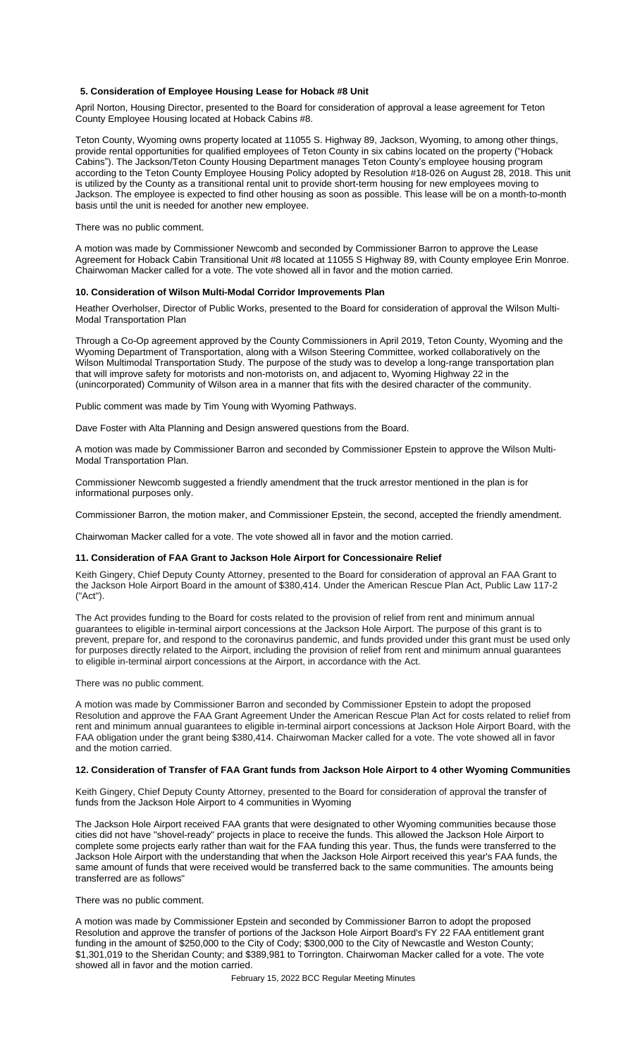## **5. Consideration of Employee Housing Lease for Hoback #8 Unit**

April Norton, Housing Director, presented to the Board for consideration of approval a lease agreement for Teton County Employee Housing located at Hoback Cabins #8.

Teton County, Wyoming owns property located at 11055 S. Highway 89, Jackson, Wyoming, to among other things, provide rental opportunities for qualified employees of Teton County in six cabins located on the property ("Hoback Cabins"). The Jackson/Teton County Housing Department manages Teton County's employee housing program according to the Teton County Employee Housing Policy adopted by Resolution #18-026 on August 28, 2018. This unit is utilized by the County as a transitional rental unit to provide short-term housing for new employees moving to Jackson. The employee is expected to find other housing as soon as possible. This lease will be on a month-to-month basis until the unit is needed for another new employee.

There was no public comment.

A motion was made by Commissioner Newcomb and seconded by Commissioner Barron to approve the Lease Agreement for Hoback Cabin Transitional Unit #8 located at 11055 S Highway 89, with County employee Erin Monroe. Chairwoman Macker called for a vote. The vote showed all in favor and the motion carried.

### **10. Consideration of Wilson Multi-Modal Corridor Improvements Plan**

Heather Overholser, Director of Public Works, presented to the Board for consideration of approval the Wilson Multi-Modal Transportation Plan

Through a Co-Op agreement approved by the County Commissioners in April 2019, Teton County, Wyoming and the Wyoming Department of Transportation, along with a Wilson Steering Committee, worked collaboratively on the Wilson Multimodal Transportation Study. The purpose of the study was to develop a long-range transportation plan that will improve safety for motorists and non-motorists on, and adjacent to, Wyoming Highway 22 in the (unincorporated) Community of Wilson area in a manner that fits with the desired character of the community.

Public comment was made by Tim Young with Wyoming Pathways.

Dave Foster with Alta Planning and Design answered questions from the Board.

A motion was made by Commissioner Barron and seconded by Commissioner Epstein to approve the Wilson Multi-Modal Transportation Plan.

Commissioner Newcomb suggested a friendly amendment that the truck arrestor mentioned in the plan is for informational purposes only.

Commissioner Barron, the motion maker, and Commissioner Epstein, the second, accepted the friendly amendment.

Chairwoman Macker called for a vote. The vote showed all in favor and the motion carried.

#### **11. Consideration of FAA Grant to Jackson Hole Airport for Concessionaire Relief**

Keith Gingery, Chief Deputy County Attorney, presented to the Board for consideration of approval an FAA Grant to the Jackson Hole Airport Board in the amount of \$380,414. Under the American Rescue Plan Act, Public Law 117-2 ("Act").

The Act provides funding to the Board for costs related to the provision of relief from rent and minimum annual guarantees to eligible in-terminal airport concessions at the Jackson Hole Airport. The purpose of this grant is to prevent, prepare for, and respond to the coronavirus pandemic, and funds provided under this grant must be used only for purposes directly related to the Airport, including the provision of relief from rent and minimum annual guarantees to eligible in-terminal airport concessions at the Airport, in accordance with the Act.

There was no public comment.

A motion was made by Commissioner Barron and seconded by Commissioner Epstein to adopt the proposed Resolution and approve the FAA Grant Agreement Under the American Rescue Plan Act for costs related to relief from rent and minimum annual guarantees to eligible in-terminal airport concessions at Jackson Hole Airport Board, with the FAA obligation under the grant being \$380,414. Chairwoman Macker called for a vote. The vote showed all in favor and the motion carried.

#### **12. Consideration of Transfer of FAA Grant funds from Jackson Hole Airport to 4 other Wyoming Communities**

Keith Gingery, Chief Deputy County Attorney, presented to the Board for consideration of approval the transfer of funds from the Jackson Hole Airport to 4 communities in Wyoming

The Jackson Hole Airport received FAA grants that were designated to other Wyoming communities because those cities did not have "shovel-ready" projects in place to receive the funds. This allowed the Jackson Hole Airport to complete some projects early rather than wait for the FAA funding this year. Thus, the funds were transferred to the Jackson Hole Airport with the understanding that when the Jackson Hole Airport received this year's FAA funds, the same amount of funds that were received would be transferred back to the same communities. The amounts being transferred are as follows"

There was no public comment.

A motion was made by Commissioner Epstein and seconded by Commissioner Barron to adopt the proposed Resolution and approve the transfer of portions of the Jackson Hole Airport Board's FY 22 FAA entitlement grant funding in the amount of \$250,000 to the City of Cody; \$300,000 to the City of Newcastle and Weston County; \$1,301,019 to the Sheridan County; and \$389,981 to Torrington. Chairwoman Macker called for a vote. The vote showed all in favor and the motion carried.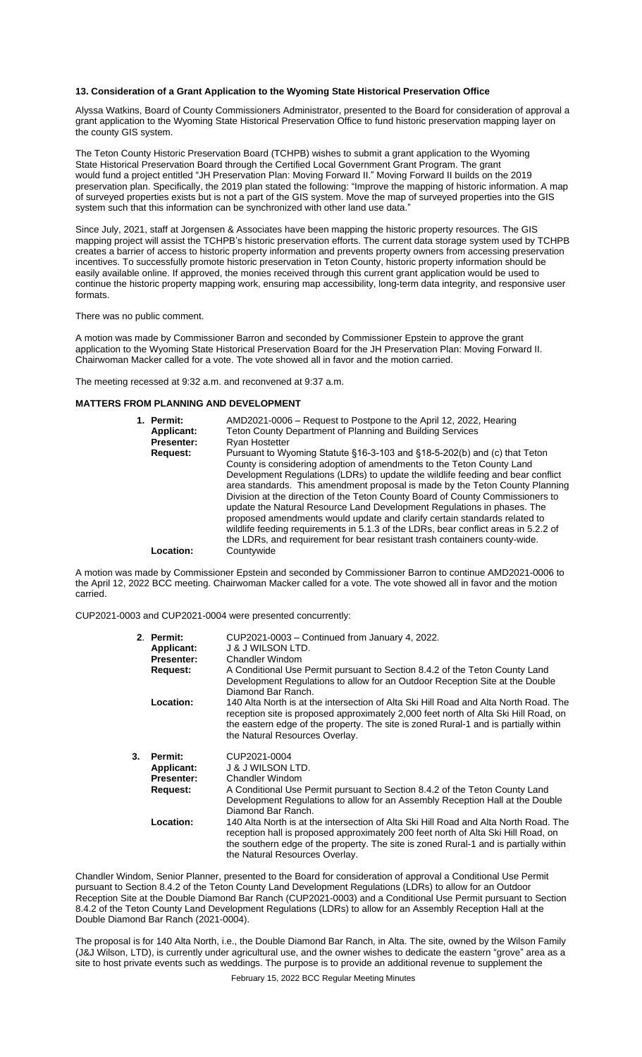# **13. Consideration of a Grant Application to the Wyoming State Historical Preservation Office**

Alyssa Watkins, Board of County Commissioners Administrator, presented to the Board for consideration of approval a grant application to the Wyoming State Historical Preservation Office to fund historic preservation mapping layer on the county GIS system.

The Teton County Historic Preservation Board (TCHPB) wishes to submit a grant application to the Wyoming State Historical Preservation Board through the Certified Local Government Grant Program. The grant would fund a project entitled "JH Preservation Plan: Moving Forward II." Moving Forward II builds on the 2019 preservation plan. Specifically, the 2019 plan stated the following: "Improve the mapping of historic information. A map of surveyed properties exists but is not a part of the GIS system. Move the map of surveyed properties into the GIS system such that this information can be synchronized with other land use data.'

Since July, 2021, staff at Jorgensen & Associates have been mapping the historic property resources. The GIS mapping project will assist the TCHPB's historic preservation efforts. The current data storage system used by TCHPB creates a barrier of access to historic property information and prevents property owners from accessing preservation incentives. To successfully promote historic preservation in Teton County, historic property information should be easily available online. If approved, the monies received through this current grant application would be used to continue the historic property mapping work, ensuring map accessibility, long-term data integrity, and responsive user formats.

There was no public comment.

A motion was made by Commissioner Barron and seconded by Commissioner Epstein to approve the grant application to the Wyoming State Historical Preservation Board for the JH Preservation Plan: Moving Forward II. Chairwoman Macker called for a vote. The vote showed all in favor and the motion carried.

The meeting recessed at 9:32 a.m. and reconvened at 9:37 a.m.

# **MATTERS FROM PLANNING AND DEVELOPMENT**

| 1. Permit:<br><b>Applicant:</b> | AMD2021-0006 – Request to Postpone to the April 12, 2022, Hearing<br>Teton County Department of Planning and Building Services                                                                                                                                                                                                                                                                                                                                                                                                                                                                                                                         |
|---------------------------------|--------------------------------------------------------------------------------------------------------------------------------------------------------------------------------------------------------------------------------------------------------------------------------------------------------------------------------------------------------------------------------------------------------------------------------------------------------------------------------------------------------------------------------------------------------------------------------------------------------------------------------------------------------|
| <b>Presenter:</b>               | <b>Ryan Hostetter</b>                                                                                                                                                                                                                                                                                                                                                                                                                                                                                                                                                                                                                                  |
| Request:                        | Pursuant to Wyoming Statute §16-3-103 and §18-5-202(b) and (c) that Teton<br>County is considering adoption of amendments to the Teton County Land<br>Development Regulations (LDRs) to update the wildlife feeding and bear conflict<br>area standards. This amendment proposal is made by the Teton County Planning<br>Division at the direction of the Teton County Board of County Commissioners to<br>update the Natural Resource Land Development Regulations in phases. The<br>proposed amendments would update and clarify certain standards related to<br>wildlife feeding requirements in 5.1.3 of the LDRs, bear conflict areas in 5.2.2 of |
| Location:                       | the LDRs, and requirement for bear resistant trash containers county-wide.<br>Countywide                                                                                                                                                                                                                                                                                                                                                                                                                                                                                                                                                               |

A motion was made by Commissioner Epstein and seconded by Commissioner Barron to continue AMD2021-0006 to the April 12, 2022 BCC meeting. Chairwoman Macker called for a vote. The vote showed all in favor and the motion carried.

CUP2021-0003 and CUP2021-0004 were presented concurrently:

|    | 2. Permit:<br><b>Applicant:</b><br><b>Presenter:</b><br>Request: | CUP2021-0003 – Continued from January 4, 2022.<br>J & J WILSON LTD.<br>Chandler Windom<br>A Conditional Use Permit pursuant to Section 8.4.2 of the Teton County Land<br>Development Regulations to allow for an Outdoor Reception Site at the Double                                                                      |
|----|------------------------------------------------------------------|----------------------------------------------------------------------------------------------------------------------------------------------------------------------------------------------------------------------------------------------------------------------------------------------------------------------------|
|    | Location:                                                        | Diamond Bar Ranch.<br>140 Alta North is at the intersection of Alta Ski Hill Road and Alta North Road. The<br>reception site is proposed approximately 2,000 feet north of Alta Ski Hill Road, on<br>the eastern edge of the property. The site is zoned Rural-1 and is partially within<br>the Natural Resources Overlay. |
| 3. | Permit:<br><b>Applicant:</b><br><b>Presenter:</b><br>Request:    | CUP2021-0004<br><b>J &amp; J WILSON LTD.</b><br>Chandler Windom<br>A Conditional Use Permit pursuant to Section 8.4.2 of the Teton County Land<br>Development Regulations to allow for an Assembly Reception Hall at the Double<br>Diamond Bar Ranch.                                                                      |
|    | Location:                                                        | 140 Alta North is at the intersection of Alta Ski Hill Road and Alta North Road. The<br>reception hall is proposed approximately 200 feet north of Alta Ski Hill Road, on<br>the southern edge of the property. The site is zoned Rural-1 and is partially within<br>the Natural Resources Overlay.                        |

Chandler Windom, Senior Planner, presented to the Board for consideration of approval a Conditional Use Permit pursuant to Section 8.4.2 of the Teton County Land Development Regulations (LDRs) to allow for an Outdoor Reception Site at the Double Diamond Bar Ranch (CUP2021-0003) and a Conditional Use Permit pursuant to Section 8.4.2 of the Teton County Land Development Regulations (LDRs) to allow for an Assembly Reception Hall at the Double Diamond Bar Ranch (2021-0004).

The proposal is for 140 Alta North, i.e., the Double Diamond Bar Ranch, in Alta. The site, owned by the Wilson Family (J&J Wilson, LTD), is currently under agricultural use, and the owner wishes to dedicate the eastern "grove" area as a site to host private events such as weddings. The purpose is to provide an additional revenue to supplement the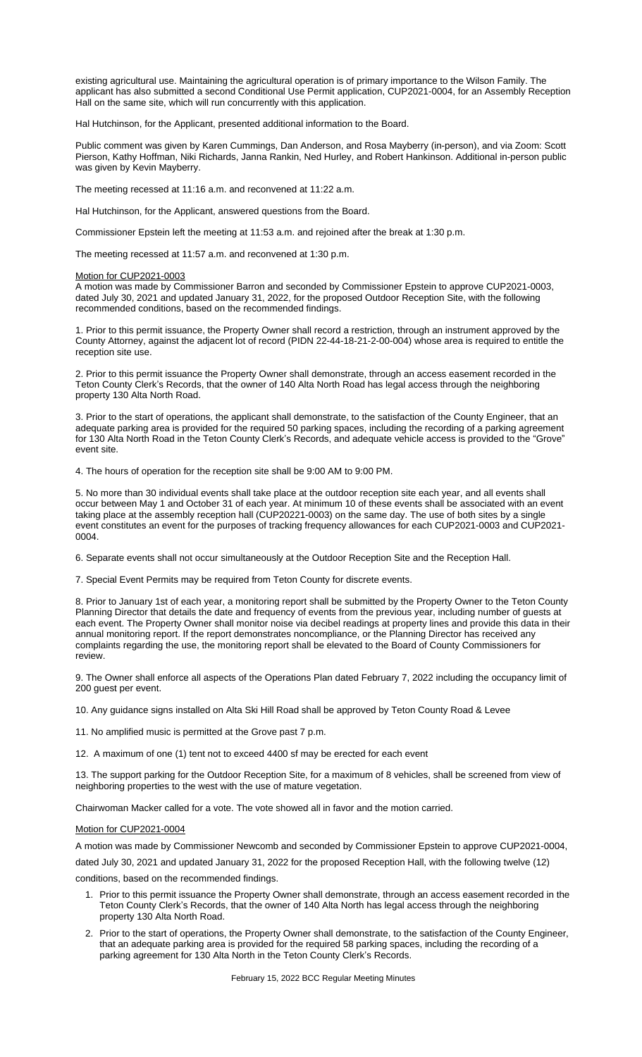existing agricultural use. Maintaining the agricultural operation is of primary importance to the Wilson Family. The applicant has also submitted a second Conditional Use Permit application, CUP2021-0004, for an Assembly Reception Hall on the same site, which will run concurrently with this application.

Hal Hutchinson, for the Applicant, presented additional information to the Board.

Public comment was given by Karen Cummings, Dan Anderson, and Rosa Mayberry (in-person), and via Zoom: Scott Pierson, Kathy Hoffman, Niki Richards, Janna Rankin, Ned Hurley, and Robert Hankinson. Additional in-person public was given by Kevin Mayberry.

The meeting recessed at 11:16 a.m. and reconvened at 11:22 a.m.

Hal Hutchinson, for the Applicant, answered questions from the Board.

Commissioner Epstein left the meeting at 11:53 a.m. and rejoined after the break at 1:30 p.m.

The meeting recessed at 11:57 a.m. and reconvened at 1:30 p.m.

#### Motion for CUP2021-0003

A motion was made by Commissioner Barron and seconded by Commissioner Epstein to approve CUP2021-0003, dated July 30, 2021 and updated January 31, 2022, for the proposed Outdoor Reception Site, with the following recommended conditions, based on the recommended findings.

1. Prior to this permit issuance, the Property Owner shall record a restriction, through an instrument approved by the County Attorney, against the adjacent lot of record (PIDN 22-44-18-21-2-00-004) whose area is required to entitle the reception site use.

2. Prior to this permit issuance the Property Owner shall demonstrate, through an access easement recorded in the Teton County Clerk's Records, that the owner of 140 Alta North Road has legal access through the neighboring property 130 Alta North Road.

3. Prior to the start of operations, the applicant shall demonstrate, to the satisfaction of the County Engineer, that an adequate parking area is provided for the required 50 parking spaces, including the recording of a parking agreement for 130 Alta North Road in the Teton County Clerk's Records, and adequate vehicle access is provided to the "Grove" event site.

4. The hours of operation for the reception site shall be 9:00 AM to 9:00 PM.

5. No more than 30 individual events shall take place at the outdoor reception site each year, and all events shall occur between May 1 and October 31 of each year. At minimum 10 of these events shall be associated with an event taking place at the assembly reception hall (CUP20221-0003) on the same day. The use of both sites by a single event constitutes an event for the purposes of tracking frequency allowances for each CUP2021-0003 and CUP2021- 0004.

6. Separate events shall not occur simultaneously at the Outdoor Reception Site and the Reception Hall.

7. Special Event Permits may be required from Teton County for discrete events.

8. Prior to January 1st of each year, a monitoring report shall be submitted by the Property Owner to the Teton County Planning Director that details the date and frequency of events from the previous year, including number of guests at each event. The Property Owner shall monitor noise via decibel readings at property lines and provide this data in their annual monitoring report. If the report demonstrates noncompliance, or the Planning Director has received any complaints regarding the use, the monitoring report shall be elevated to the Board of County Commissioners for review.

9. The Owner shall enforce all aspects of the Operations Plan dated February 7, 2022 including the occupancy limit of 200 guest per event.

10. Any guidance signs installed on Alta Ski Hill Road shall be approved by Teton County Road & Levee

11. No amplified music is permitted at the Grove past 7 p.m.

12. A maximum of one (1) tent not to exceed 4400 sf may be erected for each event

13. The support parking for the Outdoor Reception Site, for a maximum of 8 vehicles, shall be screened from view of neighboring properties to the west with the use of mature vegetation.

Chairwoman Macker called for a vote. The vote showed all in favor and the motion carried.

# Motion for CUP2021-0004

A motion was made by Commissioner Newcomb and seconded by Commissioner Epstein to approve CUP2021-0004,

dated July 30, 2021 and updated January 31, 2022 for the proposed Reception Hall, with the following twelve (12)

conditions, based on the recommended findings.

- 1. Prior to this permit issuance the Property Owner shall demonstrate, through an access easement recorded in the Teton County Clerk's Records, that the owner of 140 Alta North has legal access through the neighboring property 130 Alta North Road.
- 2. Prior to the start of operations, the Property Owner shall demonstrate, to the satisfaction of the County Engineer, that an adequate parking area is provided for the required 58 parking spaces, including the recording of a parking agreement for 130 Alta North in the Teton County Clerk's Records.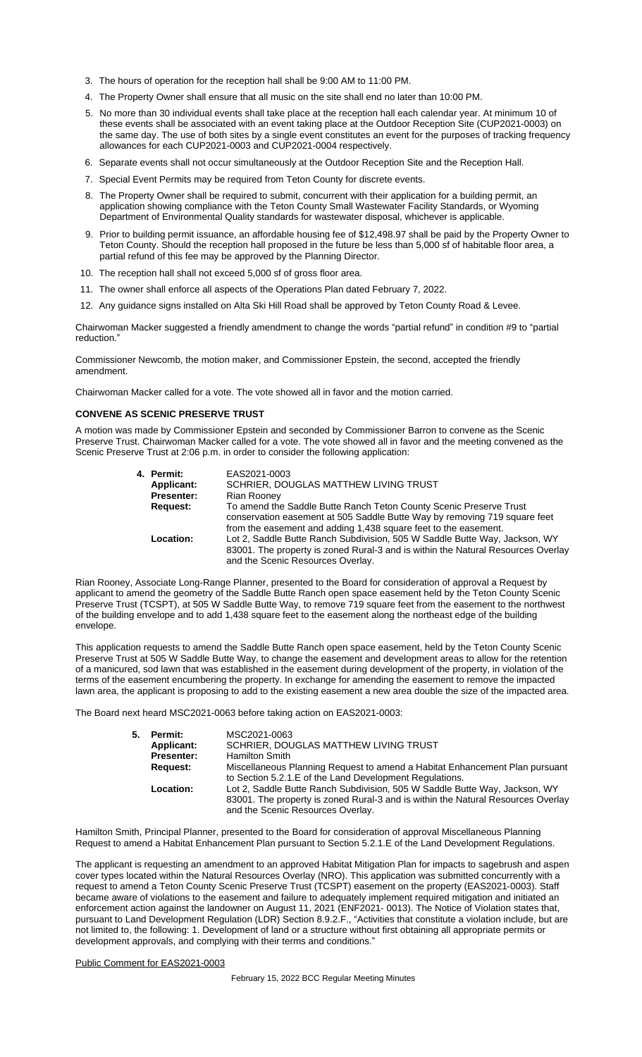- 3. The hours of operation for the reception hall shall be 9:00 AM to 11:00 PM.
- 4. The Property Owner shall ensure that all music on the site shall end no later than 10:00 PM.
- 5. No more than 30 individual events shall take place at the reception hall each calendar year. At minimum 10 of these events shall be associated with an event taking place at the Outdoor Reception Site (CUP2021-0003) on the same day. The use of both sites by a single event constitutes an event for the purposes of tracking frequency allowances for each CUP2021-0003 and CUP2021-0004 respectively.
- 6. Separate events shall not occur simultaneously at the Outdoor Reception Site and the Reception Hall.
- 7. Special Event Permits may be required from Teton County for discrete events.
- 8. The Property Owner shall be required to submit, concurrent with their application for a building permit, an application showing compliance with the Teton County Small Wastewater Facility Standards, or Wyoming Department of Environmental Quality standards for wastewater disposal, whichever is applicable.
- 9. Prior to building permit issuance, an affordable housing fee of \$12,498.97 shall be paid by the Property Owner to Teton County. Should the reception hall proposed in the future be less than 5,000 sf of habitable floor area, a partial refund of this fee may be approved by the Planning Director.
- 10. The reception hall shall not exceed 5,000 sf of gross floor area.
- 11. The owner shall enforce all aspects of the Operations Plan dated February 7, 2022.
- 12. Any guidance signs installed on Alta Ski Hill Road shall be approved by Teton County Road & Levee.

Chairwoman Macker suggested a friendly amendment to change the words "partial refund" in condition #9 to "partial reduction."

Commissioner Newcomb, the motion maker, and Commissioner Epstein, the second, accepted the friendly amendment.

Chairwoman Macker called for a vote. The vote showed all in favor and the motion carried.

#### **CONVENE AS SCENIC PRESERVE TRUST**

A motion was made by Commissioner Epstein and seconded by Commissioner Barron to convene as the Scenic Preserve Trust. Chairwoman Macker called for a vote. The vote showed all in favor and the meeting convened as the Scenic Preserve Trust at 2:06 p.m. in order to consider the following application:

| 4. Permit:        | EAS2021-0003                                                                                                                                                                                                       |
|-------------------|--------------------------------------------------------------------------------------------------------------------------------------------------------------------------------------------------------------------|
| Applicant:        | SCHRIER, DOUGLAS MATTHEW LIVING TRUST                                                                                                                                                                              |
| <b>Presenter:</b> | Rian Rooney                                                                                                                                                                                                        |
| Request:          | To amend the Saddle Butte Ranch Teton County Scenic Preserve Trust<br>conservation easement at 505 Saddle Butte Way by removing 719 square feet<br>from the easement and adding 1,438 square feet to the easement. |
| Location:         | Lot 2, Saddle Butte Ranch Subdivision, 505 W Saddle Butte Way, Jackson, WY<br>83001. The property is zoned Rural-3 and is within the Natural Resources Overlay<br>and the Scenic Resources Overlay.                |

Rian Rooney, Associate Long-Range Planner, presented to the Board for consideration of approval a Request by applicant to amend the geometry of the Saddle Butte Ranch open space easement held by the Teton County Scenic Preserve Trust (TCSPT), at 505 W Saddle Butte Way, to remove 719 square feet from the easement to the northwest of the building envelope and to add 1,438 square feet to the easement along the northeast edge of the building envelope.

This application requests to amend the Saddle Butte Ranch open space easement, held by the Teton County Scenic Preserve Trust at 505 W Saddle Butte Way, to change the easement and development areas to allow for the retention of a manicured, sod lawn that was established in the easement during development of the property, in violation of the terms of the easement encumbering the property. In exchange for amending the easement to remove the impacted lawn area, the applicant is proposing to add to the existing easement a new area double the size of the impacted area.

The Board next heard MSC2021-0063 before taking action on EAS2021-0003:

| 5. | Permit:           | MSC2021-0063                                                                                                                                                                                        |
|----|-------------------|-----------------------------------------------------------------------------------------------------------------------------------------------------------------------------------------------------|
|    | Applicant:        | SCHRIER, DOUGLAS MATTHEW LIVING TRUST                                                                                                                                                               |
|    | <b>Presenter:</b> | <b>Hamilton Smith</b>                                                                                                                                                                               |
|    | Request:          | Miscellaneous Planning Request to amend a Habitat Enhancement Plan pursuant<br>to Section 5.2.1. E of the Land Development Regulations.                                                             |
|    | Location:         | Lot 2, Saddle Butte Ranch Subdivision, 505 W Saddle Butte Way, Jackson, WY<br>83001. The property is zoned Rural-3 and is within the Natural Resources Overlay<br>and the Scenic Resources Overlay. |

Hamilton Smith, Principal Planner, presented to the Board for consideration of approval Miscellaneous Planning Request to amend a Habitat Enhancement Plan pursuant to Section 5.2.1.E of the Land Development Regulations.

The applicant is requesting an amendment to an approved Habitat Mitigation Plan for impacts to sagebrush and aspen cover types located within the Natural Resources Overlay (NRO). This application was submitted concurrently with a request to amend a Teton County Scenic Preserve Trust (TCSPT) easement on the property (EAS2021‐0003). Staff became aware of violations to the easement and failure to adequately implement required mitigation and initiated an enforcement action against the landowner on August 11, 2021 (ENF2021‐ 0013). The Notice of Violation states that, pursuant to Land Development Regulation (LDR) Section 8.9.2.F., "Activities that constitute a violation include, but are not limited to, the following: 1. Development of land or a structure without first obtaining all appropriate permits or development approvals, and complying with their terms and conditions.'

# Public Comment for EAS2021-0003